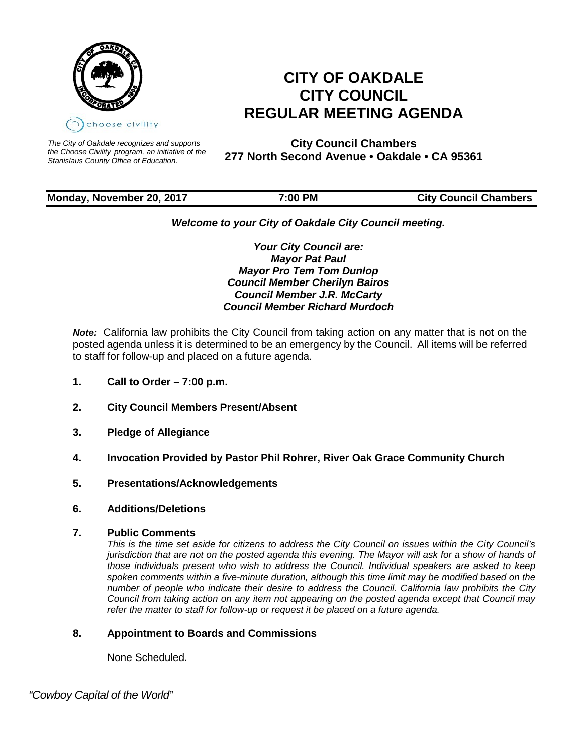

# **CITY OF OAKDALE CITY COUNCIL REGULAR MEETING AGENDA**

*The City of Oakdale recognizes and supports the Choose Civility program, an initiative of the Stanislaus County Office of Education.*

**City Council Chambers 277 North Second Avenue • Oakdale • CA 95361**

# **Monday, November 20, 2017 7:00 PM City Council Chambers**

# *Welcome to your City of Oakdale City Council meeting.*

*Your City Council are: Mayor Pat Paul Mayor Pro Tem Tom Dunlop Council Member Cherilyn Bairos Council Member J.R. McCarty Council Member Richard Murdoch*

*Note:* California law prohibits the City Council from taking action on any matter that is not on the posted agenda unless it is determined to be an emergency by the Council. All items will be referred to staff for follow-up and placed on a future agenda.

- **1. Call to Order – 7:00 p.m.**
- **2. City Council Members Present/Absent**
- **3. Pledge of Allegiance**
- **4. Invocation Provided by Pastor Phil Rohrer, River Oak Grace Community Church**
- **5. Presentations/Acknowledgements**
- **6. Additions/Deletions**
- **7. Public Comments**

*This is the time set aside for citizens to address the City Council on issues within the City Council's jurisdiction that are not on the posted agenda this evening. The Mayor will ask for a show of hands of those individuals present who wish to address the Council. Individual speakers are asked to keep spoken comments within a five-minute duration, although this time limit may be modified based on the number of people who indicate their desire to address the Council. California law prohibits the City Council from taking action on any item not appearing on the posted agenda except that Council may refer the matter to staff for follow-up or request it be placed on a future agenda.*

# **8. Appointment to Boards and Commissions**

None Scheduled.

 *"Cowboy Capital of the World"*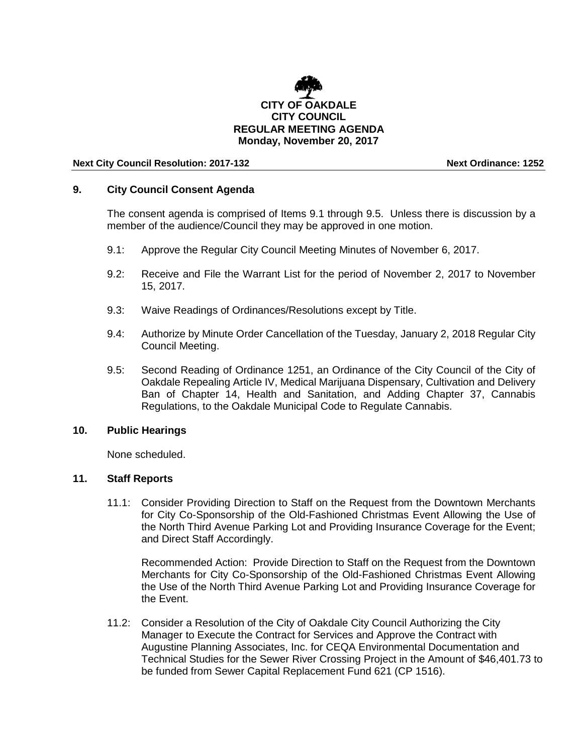

#### **Next City Council Resolution: 2017-132 Next Ordinance: 1252**

### **9. City Council Consent Agenda**

The consent agenda is comprised of Items 9.1 through 9.5. Unless there is discussion by a member of the audience/Council they may be approved in one motion.

- 9.1: Approve the Regular City Council Meeting Minutes of November 6, 2017.
- 9.2: Receive and File the Warrant List for the period of November 2, 2017 to November 15, 2017.
- 9.3: Waive Readings of Ordinances/Resolutions except by Title.
- 9.4: Authorize by Minute Order Cancellation of the Tuesday, January 2, 2018 Regular City Council Meeting.
- 9.5: Second Reading of Ordinance 1251, an Ordinance of the City Council of the City of Oakdale Repealing Article IV, Medical Marijuana Dispensary, Cultivation and Delivery Ban of Chapter 14, Health and Sanitation, and Adding Chapter 37, Cannabis Regulations, to the Oakdale Municipal Code to Regulate Cannabis.

#### **10. Public Hearings**

None scheduled.

# **11. Staff Reports**

11.1: Consider Providing Direction to Staff on the Request from the Downtown Merchants for City Co-Sponsorship of the Old-Fashioned Christmas Event Allowing the Use of the North Third Avenue Parking Lot and Providing Insurance Coverage for the Event; and Direct Staff Accordingly.

Recommended Action: Provide Direction to Staff on the Request from the Downtown Merchants for City Co-Sponsorship of the Old-Fashioned Christmas Event Allowing the Use of the North Third Avenue Parking Lot and Providing Insurance Coverage for the Event.

11.2: Consider a Resolution of the City of Oakdale City Council Authorizing the City Manager to Execute the Contract for Services and Approve the Contract with Augustine Planning Associates, Inc. for CEQA Environmental Documentation and Technical Studies for the Sewer River Crossing Project in the Amount of \$46,401.73 to be funded from Sewer Capital Replacement Fund 621 (CP 1516).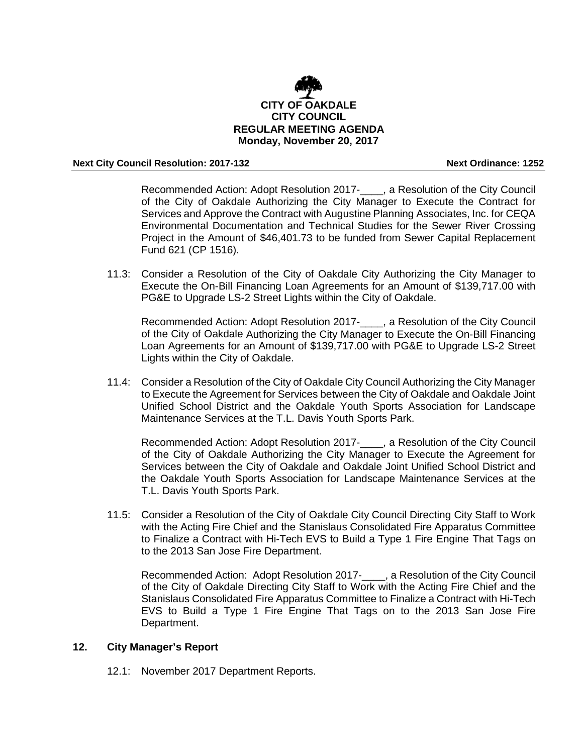

#### **Next City Council Resolution: 2017-132 Next Ordinance: 1252**

Recommended Action: Adopt Resolution 2017-\_\_\_\_, a Resolution of the City Council of the City of Oakdale Authorizing the City Manager to Execute the Contract for Services and Approve the Contract with Augustine Planning Associates, Inc. for CEQA Environmental Documentation and Technical Studies for the Sewer River Crossing Project in the Amount of \$46,401.73 to be funded from Sewer Capital Replacement Fund 621 (CP 1516).

11.3: Consider a Resolution of the City of Oakdale City Authorizing the City Manager to Execute the On-Bill Financing Loan Agreements for an Amount of \$139,717.00 with PG&E to Upgrade LS-2 Street Lights within the City of Oakdale.

Recommended Action: Adopt Resolution 2017-\_\_\_\_, a Resolution of the City Council of the City of Oakdale Authorizing the City Manager to Execute the On-Bill Financing Loan Agreements for an Amount of \$139,717.00 with PG&E to Upgrade LS-2 Street Lights within the City of Oakdale.

11.4: Consider a Resolution of the City of Oakdale City Council Authorizing the City Manager to Execute the Agreement for Services between the City of Oakdale and Oakdale Joint Unified School District and the Oakdale Youth Sports Association for Landscape Maintenance Services at the T.L. Davis Youth Sports Park.

Recommended Action: Adopt Resolution 2017-\_\_\_\_, a Resolution of the City Council of the City of Oakdale Authorizing the City Manager to Execute the Agreement for Services between the City of Oakdale and Oakdale Joint Unified School District and the Oakdale Youth Sports Association for Landscape Maintenance Services at the T.L. Davis Youth Sports Park.

11.5: Consider a Resolution of the City of Oakdale City Council Directing City Staff to Work with the Acting Fire Chief and the Stanislaus Consolidated Fire Apparatus Committee to Finalize a Contract with Hi-Tech EVS to Build a Type 1 Fire Engine That Tags on to the 2013 San Jose Fire Department.

Recommended Action: Adopt Resolution 2017-\_\_\_\_, a Resolution of the City Council of the City of Oakdale Directing City Staff to Work with the Acting Fire Chief and the Stanislaus Consolidated Fire Apparatus Committee to Finalize a Contract with Hi-Tech EVS to Build a Type 1 Fire Engine That Tags on to the 2013 San Jose Fire Department.

# **12. City Manager's Report**

12.1: November 2017 Department Reports.